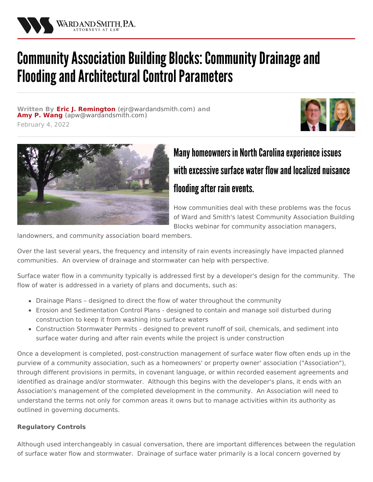

## Community Association Building Blocks: Community Drainage and Flooding and Architectural Control Parameters

**Written By Eric J. [Remington](/attorneys/eric-remington) (**[ejr@wardandsmith.com](mailto:ejr@wardandsmith.com)**) and Amy P. [Wang](/attorneys/amy-wang) (**[apw@wardandsmith.com](mailto:apw@wardandsmith.com)**)**

February 4, 2022





## Many homeowners in North Carolina experience issues with excessive surface water flow and localized nuisance flooding after rain events.

How communities deal with these problems was the focus of Ward and Smith's latest Community Association Building Blocks webinar for community association managers,

landowners, and community association board members.

Over the last several years, the frequency and intensity of rain events increasingly have impacted planned communities. An overview of drainage and stormwater can help with perspective.

Surface water flow in a community typically is addressed first by a developer's design for the community. The flow of water is addressed in a variety of plans and documents, such as:

- Drainage Plans designed to direct the flow of water throughout the community
- Erosion and Sedimentation Control Plans designed to contain and manage soil disturbed during construction to keep it from washing into surface waters
- Construction Stormwater Permits designed to prevent runoff of soil, chemicals, and sediment into surface water during and after rain events while the project is under construction

Once a development is completed, post-construction management of surface water flow often ends up in the purview of a community association, such as a homeowners' or property owner' association ("Association"), through different provisions in permits, in covenant language, or within recorded easement agreements and identified as drainage and/or stormwater. Although this begins with the developer's plans, it ends with an Association's management of the completed development in the community. An Association will need to understand the terms not only for common areas it owns but to manage activities within its authority as outlined in governing documents.

## **Regulatory Controls**

Although used interchangeably in casual conversation, there are important differences between the regulation of surface water flow and stormwater. Drainage of surface water primarily is a local concern governed by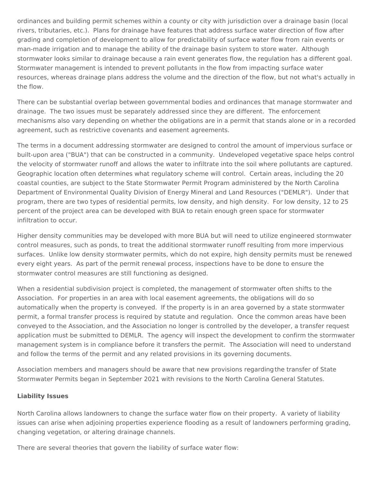ordinances and building permit schemes within a county or city with jurisdiction over a drainage basin (local rivers, tributaries, etc.). Plans for drainage have features that address surface water direction of flow after grading and completion of development to allow for predictability of surface water flow from rain events or man-made irrigation and to manage the ability of the drainage basin system to store water. Although stormwater looks similar to drainage because a rain event generates flow, the regulation has a different goal. Stormwater management is intended to prevent pollutants in the flow from impacting surface water resources, whereas drainage plans address the volume and the direction of the flow, but not what's actually in the flow.

There can be substantial overlap between governmental bodies and ordinances that manage stormwater and drainage. The two issues must be separately addressed since they are different. The enforcement mechanisms also vary depending on whether the obligations are in a permit that stands alone or in a recorded agreement, such as restrictive covenants and easement agreements.

The terms in a document addressing stormwater are designed to control the amount of impervious surface or built-upon area ("BUA") that can be constructed in a community. Undeveloped vegetative space helps control the velocity of stormwater runoff and allows the water to infiltrate into the soil where pollutants are captured. Geographic location often determines what regulatory scheme will control. Certain areas, including the 20 coastal counties, are subject to the State Stormwater Permit Program administered by the North Carolina Department of Environmental Quality Division of Energy Mineral and Land Resources ("DEMLR"). Under that program, there are two types of residential permits, low density, and high density. For low density, 12 to 25 percent of the project area can be developed with BUA to retain enough green space for stormwater infiltration to occur.

Higher density communities may be developed with more BUA but will need to utilize engineered stormwater control measures, such as ponds, to treat the additional stormwater runoff resulting from more impervious surfaces. Unlike low density stormwater permits, which do not expire, high density permits must be renewed every eight years. As part of the permit renewal process, inspections have to be done to ensure the stormwater control measures are still functioning as designed.

When a residential subdivision project is completed, the management of stormwater often shifts to the Association. For properties in an area with local easement agreements, the obligations will do so automatically when the property is conveyed. If the property is in an area governed by a state stormwater permit, a formal transfer process is required by statute and regulation. Once the common areas have been conveyed to the Association, and the Association no longer is controlled by the developer, a transfer request application must be submitted to DEMLR. The agency will inspect the development to confirm the stormwater management system is in compliance before it transfers the permit. The Association will need to understand and follow the terms of the permit and any related provisions in its governing documents.

Association members and managers should be aware that new provisions [regardingthe](/articles/state-stormwater-program-amendments-significant-for-those-affected-by-post-construction-stormwater-permits) transfer of State Stormwater Permits began in September 2021 with revisions to the North Carolina General Statutes.

## **Liability Issues**

North Carolina allows landowners to change the surface water flow on their property. A variety of liability issues can arise when adjoining properties experience flooding as a result of landowners performing grading, changing vegetation, or altering drainage channels.

There are several theories that govern the liability of surface water flow: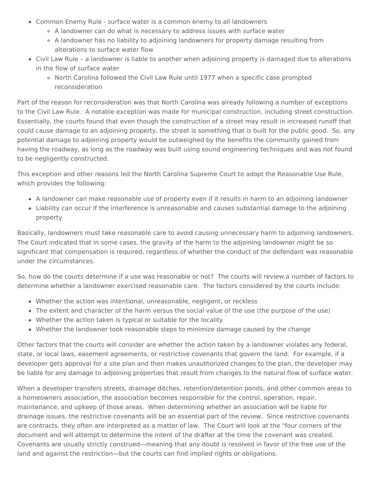- Common Enemy Rule surface water is a common enemy to all landowners
	- A landowner can do what is necessary to address issues with surface water
	- A landowner has no liability to adjoining landowners for property damage resulting from alterations to surface water flow
- Civil Law Rule a landowner is liable to another when adjoining property is damaged due to alterations in the flow of surface water
	- o North Carolina followed the Civil Law Rule until 1977 when a specific case prompted reconsideration

Part of the reason for reconsideration was that North Carolina was already following a number of exceptions to the Civil Law Rule. A notable exception was made for municipal construction, including street construction. Essentially, the courts found that even though the construction of a street may result in increased runoff that could cause damage to an adjoining property, the street is something that is built for the public good. So, any potential damage to adjoining property would be outweighed by the benefits the community gained from having the roadway, as long as the roadway was built using sound engineering techniques and was not found to be negligently constructed.

This exception and other reasons led the North Carolina Supreme Court to adopt the Reasonable Use Rule, which provides the following:

- A landowner can make reasonable use of property even if it results in harm to an adjoining landowner
- Liability can occur if the interference is unreasonable and causes substantial damage to the adjoining property

Basically, landowners must take reasonable care to avoid causing unnecessary harm to adjoining landowners. The Court indicated that in some cases, the gravity of the harm to the adjoining landowner might be so significant that compensation is required, regardless of whether the conduct of the defendant was reasonable under the circumstances.

So, how do the courts determine if a use was reasonable or not? The courts will review a number of factors to determine whether a landowner exercised reasonable care. The factors considered by the courts include:

- Whether the action was intentional, unreasonable, negligent, or reckless
- The extent and character of the harm versus the social value of the use (the purpose of the use)
- Whether the action taken is typical or suitable for the locality
- Whether the landowner took reasonable steps to minimize damage caused by the change

Other factors that the courts will consider are whether the action taken by a landowner violates any federal, state, or local laws, easement agreements, or restrictive covenants that govern the land. For example, if a developer gets approval for a site plan and then makes unauthorized changes to the plan, the developer may be liable for any damage to adjoining properties that result from changes to the natural flow of surface water.

When a developer transfers streets, drainage ditches, retention/detention ponds, and other common areas to a homeowners association, the association becomes responsible for the control, operation, repair, maintenance, and upkeep of those areas. When determining whether an association will be liable for drainage issues, the restrictive covenants will be an essential part of the review. Since restrictive covenants are contracts, they often are interpreted as a matter of law. The Court will look at the "four corners of the document and will attempt to determine the intent of the drafter at the time the covenant was created. Covenants are usually strictly construed—meaning that any doubt is resolved in favor of the free use of the land and against the restriction—but the courts can find implied rights or obligations.